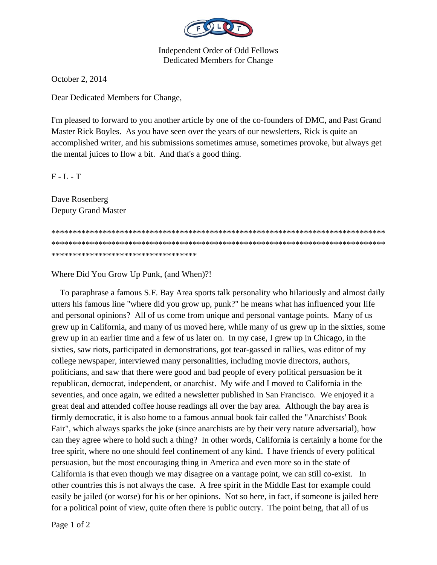

**Independent Order of Odd Fellows Dedicated Members for Change** 

October 2, 2014

Dear Dedicated Members for Change,

I'm pleased to forward to you another article by one of the co-founders of DMC, and Past Grand Master Rick Boyles. As you have seen over the years of our newsletters, Rick is quite an accomplished writer, and his submissions sometimes amuse, sometimes provoke, but always get the mental juices to flow a bit. And that's a good thing.

 $F - L - T$ 

Dave Rosenberg **Deputy Grand Master** 

\*\*\*\*\*\*\*\*\*\*\*\*\*\*\*\*\*\*\*\*\*\*\*\*\*\*\*\*\*\*\*\*\*\*

Where Did You Grow Up Punk, (and When)?!

To paraphrase a famous S.F. Bay Area sports talk personality who hilariously and almost daily utters his famous line "where did you grow up, punk?" he means what has influenced your life and personal opinions? All of us come from unique and personal vantage points. Many of us grew up in California, and many of us moved here, while many of us grew up in the sixties, some grew up in an earlier time and a few of us later on. In my case, I grew up in Chicago, in the sixties, saw riots, participated in demonstrations, got tear-gassed in rallies, was editor of my college newspaper, interviewed many personalities, including movie directors, authors, politicians, and saw that there were good and bad people of every political persuasion be it republican, democrat, independent, or anarchist. My wife and I moved to California in the seventies, and once again, we edited a newsletter published in San Francisco. We enjoyed it a great deal and attended coffee house readings all over the bay area. Although the bay area is firmly democratic, it is also home to a famous annual book fair called the "Anarchists' Book Fair", which always sparks the joke (since anarchists are by their very nature adversarial), how can they agree where to hold such a thing? In other words, California is certainly a home for the free spirit, where no one should feel confinement of any kind. I have friends of every political persuasion, but the most encouraging thing in America and even more so in the state of California is that even though we may disagree on a vantage point, we can still co-exist. In other countries this is not always the case. A free spirit in the Middle East for example could easily be jailed (or worse) for his or her opinions. Not so here, in fact, if someone is jailed here for a political point of view, quite often there is public outcry. The point being, that all of us

Page 1 of 2